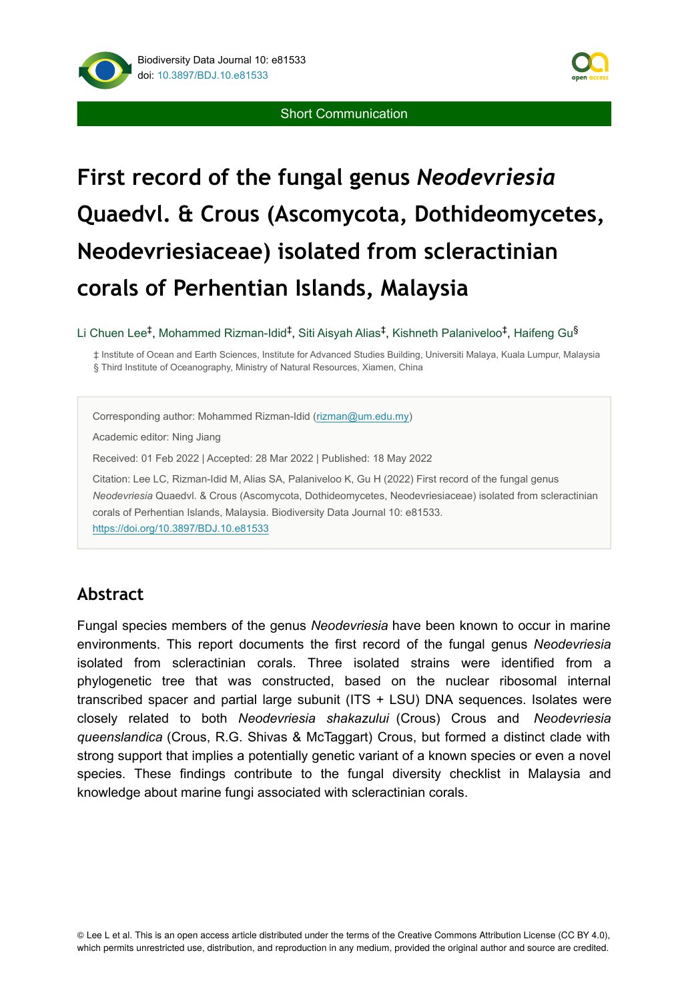



# **First record of the fungal genus** *Neodevriesia* **Quaedvl. & Crous (Ascomycota, Dothideomycetes, Neodevriesiaceae) isolated from scleractinian corals of Perhentian Islands, Malaysia**

#### Li Chuen Lee‡, Mohammed Rizman-Idid‡, Siti Aisyah Alias‡, Kishneth Palaniveloo‡, Haifeng Gu<sup>§</sup>

‡ Institute of Ocean and Earth Sciences, Institute for Advanced Studies Building, Universiti Malaya, Kuala Lumpur, Malaysia § Third Institute of Oceanography, Ministry of Natural Resources, Xiamen, China

Corresponding author: Mohammed Rizman-Idid ([rizman@um.edu.my\)](mailto:rizman@um.edu.my)

Academic editor: Ning Jiang

Received: 01 Feb 2022 | Accepted: 28 Mar 2022 | Published: 18 May 2022

Citation: Lee LC, Rizman-Idid M, Alias SA, Palaniveloo K, Gu H (2022) First record of the fungal genus *Neodevriesia* Quaedvl. & Crous (Ascomycota, Dothideomycetes, Neodevriesiaceae) isolated from scleractinian corals of Perhentian Islands, Malaysia. Biodiversity Data Journal 10: e81533. <https://doi.org/10.3897/BDJ.10.e81533>

#### **Abstract**

Fungal species members of the genus *Neodevriesia* have been known to occur in marine environments. This report documents the first record of the fungal genus *Neodevriesia* isolated from scleractinian corals. Three isolated strains were identified from a phylogenetic tree that was constructed, based on the nuclear ribosomal internal transcribed spacer and partial large subunit (ITS + LSU) DNA sequences. Isolates were closely related to both *Neodevriesia shakazului* (Crous) Crous and *Neodevriesia queenslandica* (Crous, R.G. Shivas & McTaggart) Crous, but formed a distinct clade with strong support that implies a potentially genetic variant of a known species or even a novel species. These findings contribute to the fungal diversity checklist in Malaysia and knowledge about marine fungi associated with scleractinian corals.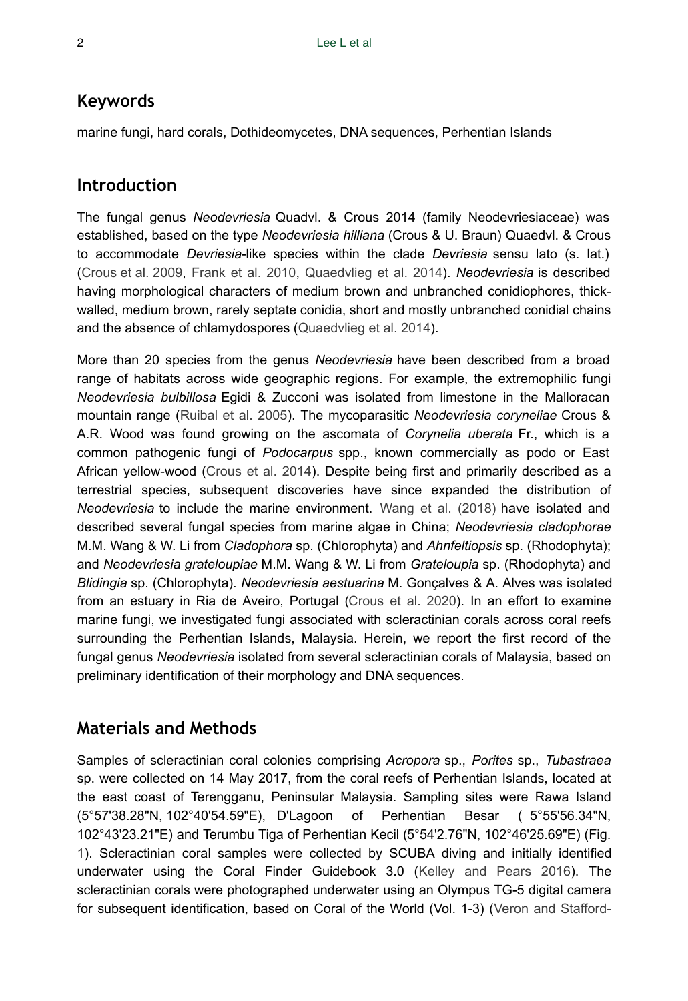#### **Keywords**

marine fungi, hard corals, Dothideomycetes, DNA sequences, Perhentian Islands

#### **Introduction**

The fungal genus *Neodevriesia* Quadvl. & Crous 2014 (family Neodevriesiaceae) was established, based on the type *Neodevriesia hilliana* (Crous & U. Braun) Quaedvl. & Crous to accommodate *Devriesia*-like species within the clade *Devriesia* sensu lato (s. lat.) [\(Crous et al. 2009,](#page-7-0) [Frank et al. 2010](#page-8-0), [Quaedvlieg et al. 2014\)](#page-9-0). *Neodevriesia* is described having morphological characters of medium brown and unbranched conidiophores, thickwalled, medium brown, rarely septate conidia, short and mostly unbranched conidial chains and the absence of chlamydospores ([Quaedvlieg et al. 2014\)](#page-9-0).

More than 20 species from the genus *Neodevriesia* have been described from a broad range of habitats across wide geographic regions. For example, the extremophilic fungi *Neodevriesia bulbillosa* Egidi & Zucconi was isolated from limestone in the Malloracan mountain range [\(Ruibal et al. 2005](#page-10-0)). The mycoparasitic *Neodevriesia coryneliae* Crous & A.R. Wood was found growing on the ascomata of *Corynelia uberata* Fr., which is a common pathogenic fungi of *Podocarpus* spp., known commercially as podo or East African yellow-wood [\(Crous et al. 2014\)](#page-7-1). Despite being first and primarily described as a terrestrial species, subsequent discoveries have since expanded the distribution of *Neodevriesia* to include the marine environment. [Wang et al. \(2018\)](#page-10-1) have isolated and described several fungal species from marine algae in China; *Neodevriesia cladophorae* M.M. Wang & W. Li from *Cladophora* sp. (Chlorophyta) and *Ahnfeltiopsis* sp. (Rhodophyta); and *Neodevriesia grateloupiae* M.M. Wang & W. Li from *Grateloupia* sp. (Rhodophyta) and *Blidingia* sp. (Chlorophyta). *Neodevriesia aestuarina* M. Gonçalves & A. Alves was isolated from an estuary in Ria de Aveiro, Portugal [\(Crous et al. 2020](#page-8-1)). In an effort to examine marine fungi, we investigated fungi associated with scleractinian corals across coral reefs surrounding the Perhentian Islands, Malaysia. Herein, we report the first record of the fungal genus *Neodevriesia* isolated from several scleractinian corals of Malaysia, based on preliminary identification of their morphology and DNA sequences.

# **Materials and Methods**

Samples of scleractinian coral colonies comprising *Acropora* sp., *Porites* sp., *Tubastraea* sp. were collected on 14 May 2017, from the coral reefs of Perhentian Islands, located at the east coast of Terengganu, Peninsular Malaysia. Sampling sites were Rawa Island (5°57'38.28"N, 102°40'54.59"E), D'Lagoon of Perhentian Besar ( 5°55'56.34"N, 102°43'23.21"E) and Terumbu Tiga of Perhentian Kecil (5°54'2.76"N, 102°46'25.69"E) (Fig. [1](#page-2-0)). Scleractinian coral samples were collected by SCUBA diving and initially identified underwater using the Coral Finder Guidebook 3.0 ([Kelley and Pears 2016\)](#page-9-1). The scleractinian corals were photographed underwater using an Olympus TG-5 digital camera for subsequent identification, based on Coral of the World (Vol. 1-3) ([Veron and Stafford-](#page-10-2)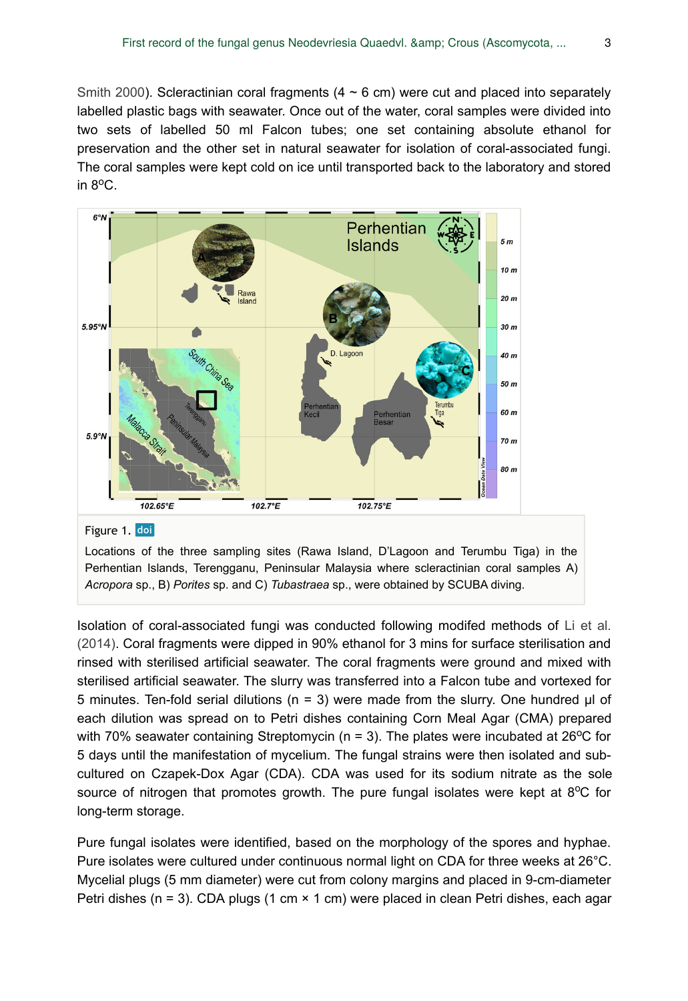[Smith 2000](#page-10-2)). Scleractinian coral fragments  $(4 \sim 6 \text{ cm})$  were cut and placed into separately labelled plastic bags with seawater. Once out of the water, coral samples were divided into two sets of labelled 50 ml Falcon tubes; one set containing absolute ethanol for preservation and the other set in natural seawater for isolation of coral-associated fungi. The coral samples were kept cold on ice until transported back to the laboratory and stored in  $8^{\circ}$ C.

<span id="page-2-0"></span>

*Acropora* sp., B) *Porites* sp. and C) *Tubastraea* sp., were obtained by SCUBA diving.

Isolation of coral-associated fungi was conducted following modifed methods of [Li et al.](#page-9-2) [\(2014\)](#page-9-2). Coral fragments were dipped in 90% ethanol for 3 mins for surface sterilisation and rinsed with sterilised artificial seawater. The coral fragments were ground and mixed with sterilised artificial seawater. The slurry was transferred into a Falcon tube and vortexed for 5 minutes. Ten-fold serial dilutions (n = 3) were made from the slurry. One hundred μl of each dilution was spread on to Petri dishes containing Corn Meal Agar (CMA) prepared with 70% seawater containing Streptomycin ( $n = 3$ ). The plates were incubated at 26<sup>o</sup>C for 5 days until the manifestation of mycelium. The fungal strains were then isolated and subcultured on Czapek-Dox Agar (CDA). CDA was used for its sodium nitrate as the sole source of nitrogen that promotes growth. The pure fungal isolates were kept at  $8^{\circ}$ C for long-term storage.

Pure fungal isolates were identified, based on the morphology of the spores and hyphae. Pure isolates were cultured under continuous normal light on CDA for three weeks at 26°C. Mycelial plugs (5 mm diameter) were cut from colony margins and placed in 9-cm-diameter Petri dishes (n = 3). CDA plugs (1 cm  $\times$  1 cm) were placed in clean Petri dishes, each agar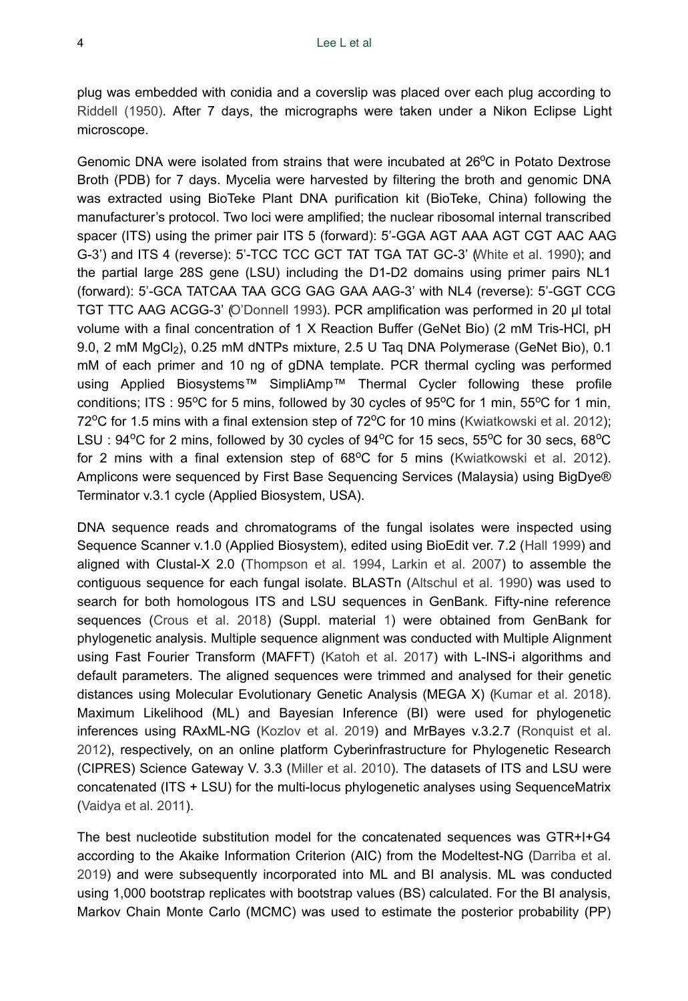plug was embedded with conidia and a coverslip was placed over each plug according to [Riddell \(1950\)](#page-9-3). After 7 days, the micrographs were taken under a Nikon Eclipse Light microscope.

Genomic DNA were isolated from strains that were incubated at 26°C in Potato Dextrose Broth (PDB) for 7 days. Mycelia were harvested by filtering the broth and genomic DNA was extracted using BioTeke Plant DNA purification kit (BioTeke, China) following the manufacturer's protocol. Two loci were amplified; the nuclear ribosomal internal transcribed spacer (ITS) using the primer pair ITS 5 (forward): 5'-GGA AGT AAA AGT CGT AAC AAG G-3') and ITS 4 (reverse): 5'-TCC TCC GCT TAT TGA TAT GC-3' [\(White et al. 1990\)](#page-10-3); and the partial large 28S gene (LSU) including the D1-D2 domains using primer pairs NL1 (forward): 5'-GCA TATCAA TAA GCG GAG GAA AAG-3' with NL4 (reverse): 5'-GGT CCG TGT TTC AAG ACGG-3' [\(O'Donnell 1993](#page-9-4)). PCR amplification was performed in 20 μl total volume with a final concentration of 1 X Reaction Buffer (GeNet Bio) (2 mM Tris-HCl, pH 9.0, 2 mM  $MgCl<sub>2</sub>$ ), 0.25 mM dNTPs mixture, 2.5 U Taq DNA Polymerase (GeNet Bio), 0.1 mM of each primer and 10 ng of gDNA template. PCR thermal cycling was performed using Applied Biosystems™ SimpliAmp™ Thermal Cycler following these profile conditions; ITS : 95°C for 5 mins, followed by 30 cycles of 95°C for 1 min, 55°C for 1 min, 72°C for 1.5 mins with a final extension step of 72°C for 10 mins ([Kwiatkowski et al. 2012\)](#page-9-5); LSU: 94°C for 2 mins, followed by 30 cycles of 94°C for 15 secs, 55°C for 30 secs, 68°C for 2 mins with a final extension step of  $68^{\circ}$ C for 5 mins ([Kwiatkowski et al. 2012\)](#page-9-5). Amplicons were sequenced by First Base Sequencing Services (Malaysia) using BigDye® Terminator v.3.1 cycle (Applied Biosystem, USA).

DNA sequence reads and chromatograms of the fungal isolates were inspected using Sequence Scanner v.1.0 (Applied Biosystem), edited using BioEdit ver. 7.2 [\(Hall 1999\)](#page-8-2) and aligned with Clustal-X 2.0 ([Thompson et al. 1994](#page-10-4), [Larkin et al. 2007\)](#page-9-6) to assemble the contiguous sequence for each fungal isolate. BLASTn [\(Altschul et al. 1990\)](#page-6-0) was used to search for both homologous ITS and LSU sequences in GenBank. Fifty-nine reference sequences [\(Crous et al. 2018](#page-7-2)) (Suppl. material [1\)](#page-10-5) were obtained from GenBank for phylogenetic analysis. Multiple sequence alignment was conducted with Multiple Alignment using Fast Fourier Transform (MAFFT) [\(Katoh et al. 2017](#page-9-7)) with L-INS-i algorithms and default parameters. The aligned sequences were trimmed and analysed for their genetic distances using Molecular Evolutionary Genetic Analysis (MEGA X) [\(Kumar et al. 2018\)](#page-9-8). Maximum Likelihood (ML) and Bayesian Inference (BI) were used for phylogenetic inferences using RAxML-NG [\(Kozlov et al. 2019](#page-9-9)) and MrBayes v.3.2.7 [\(Ronquist et al.](#page-9-10) [2012](#page-9-10)), respectively, on an online platform Cyberinfrastructure for Phylogenetic Research (CIPRES) Science Gateway V. 3.3 ([Miller et al. 2010\)](#page-9-11). The datasets of ITS and LSU were concatenated (ITS + LSU) for the multi-locus phylogenetic analyses using SequenceMatrix [\(Vaidya et al. 2011](#page-10-6)).

The best nucleotide substitution model for the concatenated sequences was GTR+I+G4 according to the Akaike Information Criterion (AIC) from the Modeltest-NG [\(Darriba et al.](#page-8-3) [2019](#page-8-3)) and were subsequently incorporated into ML and BI analysis. ML was conducted using 1,000 bootstrap replicates with bootstrap values (BS) calculated. For the BI analysis, Markov Chain Monte Carlo (MCMC) was used to estimate the posterior probability (PP)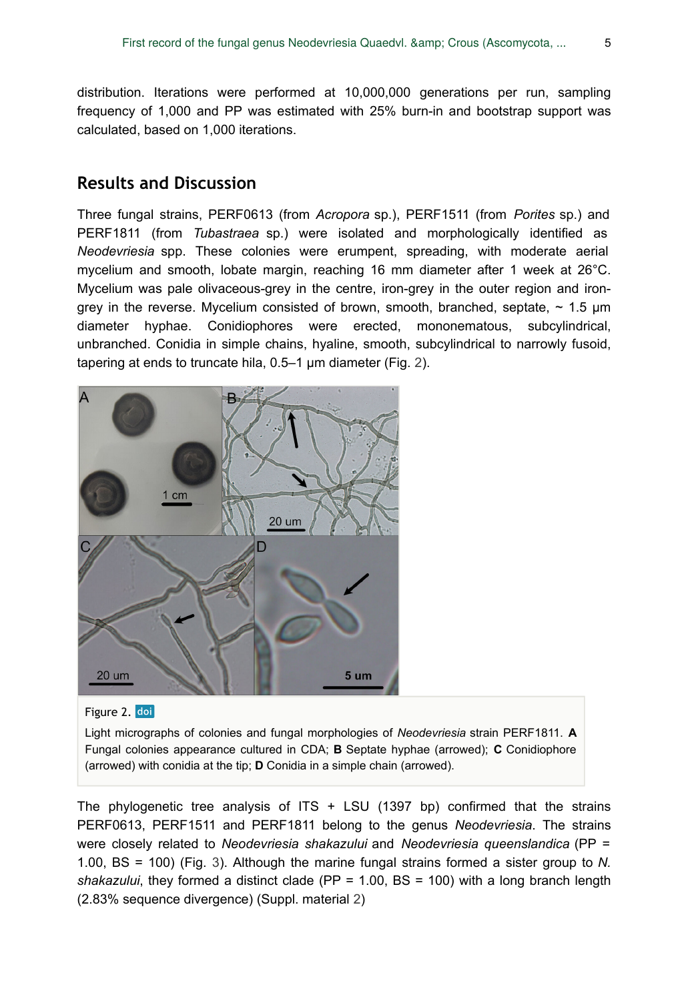distribution. Iterations were performed at 10,000,000 generations per run, sampling frequency of 1,000 and PP was estimated with 25% burn-in and bootstrap support was calculated, based on 1,000 iterations.

#### **Results and Discussion**

Three fungal strains, PERF0613 (from *Acropora* sp.), PERF1511 (from *Porites* sp.) and PERF1811 (from *Tubastraea* sp.) were isolated and morphologically identified as *Neodevriesia* spp. These colonies were erumpent, spreading, with moderate aerial mycelium and smooth, lobate margin, reaching 16 mm diameter after 1 week at 26°C. Mycelium was pale olivaceous-grey in the centre, iron-grey in the outer region and irongrey in the reverse. Mycelium consisted of brown, smooth, branched, septate,  $\sim 1.5$  µm diameter hyphae. Conidiophores were erected, mononematous, subcylindrical, unbranched. Conidia in simple chains, hyaline, smooth, subcylindrical to narrowly fusoid, tapering at ends to truncate hila, 0.5–1 μm diameter (Fig. [2\)](#page-4-0).

<span id="page-4-0"></span>



Light micrographs of colonies and fungal morphologies of *Neodevriesia* strain PERF1811. **A** Fungal colonies appearance cultured in CDA; **B** Septate hyphae (arrowed); **C** Conidiophore (arrowed) with conidia at the tip; **D** Conidia in a simple chain (arrowed).

The phylogenetic tree analysis of  $ITS + LSU$  (1397 bp) confirmed that the strains PERF0613, PERF1511 and PERF1811 belong to the genus *Neodevriesia*. The strains were closely related to *Neodevriesia shakazului* and *Neodevriesia queenslandica* (PP = 1.00, BS = 100) (Fig. [3](#page-5-0)). Although the marine fungal strains formed a sister group to *N. shakazului*, they formed a distinct clade (PP = 1.00, BS = 100) with a long branch length (2.83% sequence divergence) (Suppl. material [2](#page-11-0))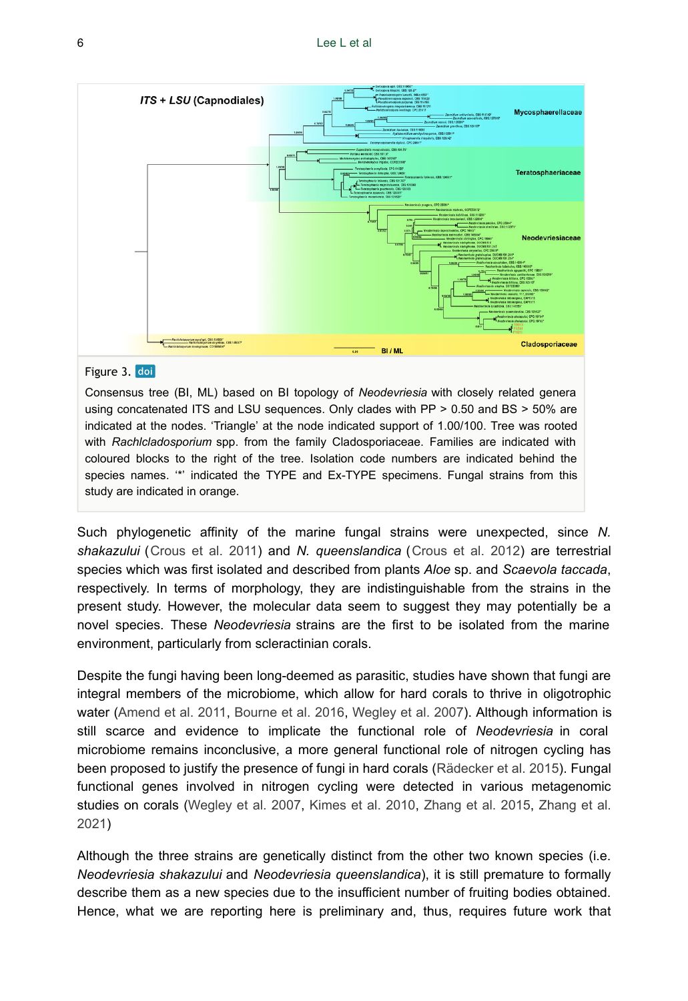<span id="page-5-0"></span>

#### Figure 3. doi

Consensus tree (BI, ML) based on BI topology of *Neodevriesia* with closely related genera using concatenated ITS and LSU sequences. Only clades with PP > 0.50 and BS > 50% are indicated at the nodes. 'Triangle' at the node indicated support of 1.00/100. Tree was rooted with *Rachlcladosporium* spp. from the family Cladosporiaceae. Families are indicated with coloured blocks to the right of the tree. Isolation code numbers are indicated behind the species names. '\*' indicated the TYPE and Ex-TYPE specimens. Fungal strains from this study are indicated in orange.

Such phylogenetic affinity of the marine fungal strains were unexpected, since *N. shakazului* ([Crous et al. 2011](#page-7-3)) and *N. queenslandica* ([Crous et al. 2012](#page-7-4)) are terrestrial species which was first isolated and described from plants *Aloe* sp. and *Scaevola taccada*, respectively. In terms of morphology, they are indistinguishable from the strains in the present study. However, the molecular data seem to suggest they may potentially be a novel species. These *Neodevriesia* strains are the first to be isolated from the marine environment, particularly from scleractinian corals.

Despite the fungi having been long-deemed as parasitic, studies have shown that fungi are integral members of the microbiome, which allow for hard corals to thrive in oligotrophic water [\(Amend et al. 2011,](#page-7-5) [Bourne et al. 2016](#page-7-6), [Wegley et al. 2007](#page-10-7)). Although information is still scarce and evidence to implicate the functional role of *Neodevriesia* in coral microbiome remains inconclusive, a more general functional role of nitrogen cycling has been proposed to justify the presence of fungi in hard corals ([Rädecker et al. 2015\)](#page-9-12). Fungal functional genes involved in nitrogen cycling were detected in various metagenomic studies on corals ([Wegley et al. 2007,](#page-10-7) [Kimes et al. 2010](#page-9-13), [Zhang et al. 2015](#page-10-8), [Zhang et al.](#page-10-9) [2021](#page-10-9))

Although the three strains are genetically distinct from the other two known species (i.e. *Neodevriesia shakazului* and *Neodevriesia queenslandica*), it is still premature to formally describe them as a new species due to the insufficient number of fruiting bodies obtained. Hence, what we are reporting here is preliminary and, thus, requires future work that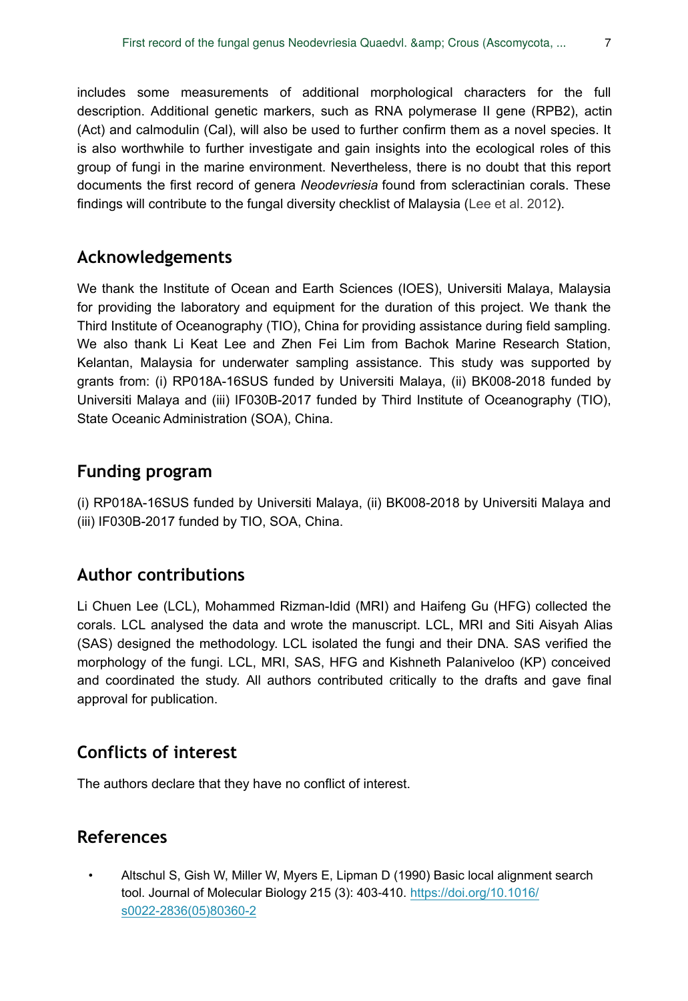includes some measurements of additional morphological characters for the full description. Additional genetic markers, such as RNA polymerase II gene (RPB2), actin (Act) and calmodulin (Cal), will also be used to further confirm them as a novel species. It is also worthwhile to further investigate and gain insights into the ecological roles of this group of fungi in the marine environment. Nevertheless, there is no doubt that this report documents the first record of genera *Neodevriesia* found from scleractinian corals. These findings will contribute to the fungal diversity checklist of Malaysia ([Lee et al. 2012](#page-9-14)).

# **Acknowledgements**

We thank the Institute of Ocean and Earth Sciences (IOES), Universiti Malaya, Malaysia for providing the laboratory and equipment for the duration of this project. We thank the Third Institute of Oceanography (TIO), China for providing assistance during field sampling. We also thank Li Keat Lee and Zhen Fei Lim from Bachok Marine Research Station, Kelantan, Malaysia for underwater sampling assistance. This study was supported by grants from: (i) RP018A-16SUS funded by Universiti Malaya, (ii) BK008-2018 funded by Universiti Malaya and (iii) IF030B-2017 funded by Third Institute of Oceanography (TIO), State Oceanic Administration (SOA), China.

# **Funding program**

(i) RP018A-16SUS funded by Universiti Malaya, (ii) BK008-2018 by Universiti Malaya and (iii) IF030B-2017 funded by TIO, SOA, China.

# **Author contributions**

Li Chuen Lee (LCL), Mohammed Rizman-Idid (MRI) and Haifeng Gu (HFG) collected the corals. LCL analysed the data and wrote the manuscript. LCL, MRI and Siti Aisyah Alias (SAS) designed the methodology. LCL isolated the fungi and their DNA. SAS verified the morphology of the fungi. LCL, MRI, SAS, HFG and Kishneth Palaniveloo (KP) conceived and coordinated the study. All authors contributed critically to the drafts and gave final approval for publication.

# **Conflicts of interest**

The authors declare that they have no conflict of interest.

# **References**

<span id="page-6-0"></span>• Altschul S, Gish W, Miller W, Myers E, Lipman D (1990) Basic local alignment search tool. Journal of Molecular Biology 215 (3): 403‑410. [https://doi.org/10.1016/](https://doi.org/10.1016/s0022-2836(05)80360-2) [s0022-2836\(05\)80360-2](https://doi.org/10.1016/s0022-2836(05)80360-2)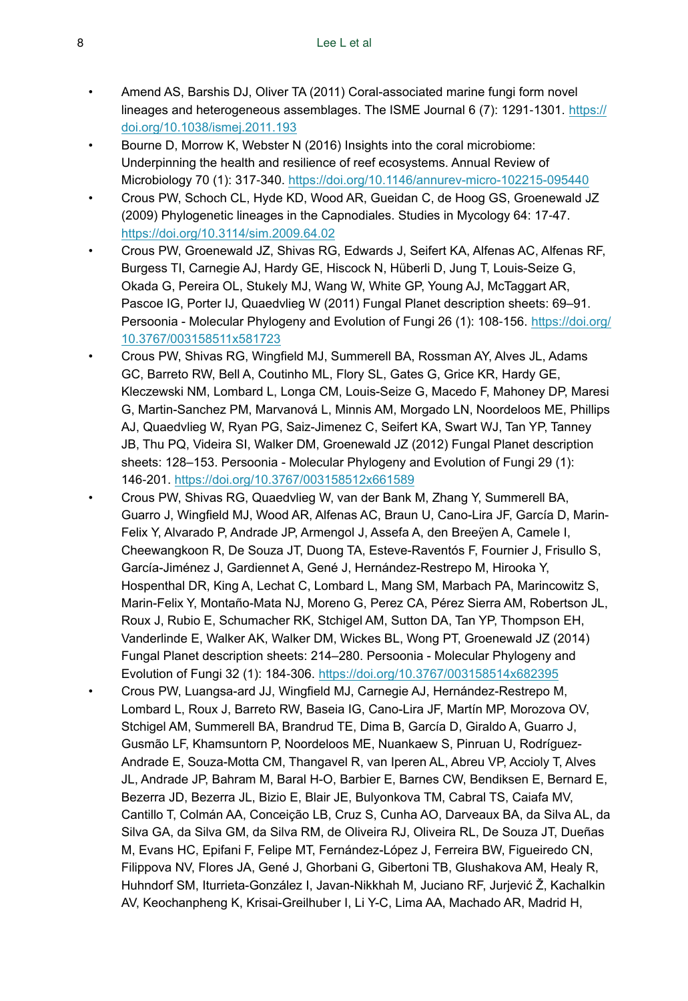- <span id="page-7-5"></span>• Amend AS, Barshis DJ, Oliver TA (2011) Coral-associated marine fungi form novel lineages and heterogeneous assemblages. The ISME Journal 6 (7): 1291-1301. [https://](https://doi.org/10.1038/ismej.2011.193) [doi.org/10.1038/ismej.2011.193](https://doi.org/10.1038/ismej.2011.193)
- <span id="page-7-6"></span>• Bourne D, Morrow K, Webster N (2016) Insights into the coral microbiome: Underpinning the health and resilience of reef ecosystems. Annual Review of Microbiology 70 (1): 317‑340. <https://doi.org/10.1146/annurev-micro-102215-095440>
- <span id="page-7-0"></span>• Crous PW, Schoch CL, Hyde KD, Wood AR, Gueidan C, de Hoog GS, Groenewald JZ (2009) Phylogenetic lineages in the Capnodiales. Studies in Mycology 64: 17‑47. <https://doi.org/10.3114/sim.2009.64.02>
- <span id="page-7-3"></span>• Crous PW, Groenewald JZ, Shivas RG, Edwards J, Seifert KA, Alfenas AC, Alfenas RF, Burgess TI, Carnegie AJ, Hardy GE, Hiscock N, Hüberli D, Jung T, Louis-Seize G, Okada G, Pereira OL, Stukely MJ, Wang W, White GP, Young AJ, McTaggart AR, Pascoe IG, Porter IJ, Quaedvlieg W (2011) Fungal Planet description sheets: 69–91. Persoonia - Molecular Phylogeny and Evolution of Fungi 26 (1): 108-156. [https://doi.org/](https://doi.org/10.3767/003158511x581723) [10.3767/003158511x581723](https://doi.org/10.3767/003158511x581723)
- <span id="page-7-4"></span>• Crous PW, Shivas RG, Wingfield MJ, Summerell BA, Rossman AY, Alves JL, Adams GC, Barreto RW, Bell A, Coutinho ML, Flory SL, Gates G, Grice KR, Hardy GE, Kleczewski NM, Lombard L, Longa CM, Louis-Seize G, Macedo F, Mahoney DP, Maresi G, Martin-Sanchez PM, Marvanová L, Minnis AM, Morgado LN, Noordeloos ME, Phillips AJ, Quaedvlieg W, Ryan PG, Saiz-Jimenez C, Seifert KA, Swart WJ, Tan YP, Tanney JB, Thu PQ, Videira SI, Walker DM, Groenewald JZ (2012) Fungal Planet description sheets: 128–153. Persoonia - Molecular Phylogeny and Evolution of Fungi 29 (1): 146‑201. <https://doi.org/10.3767/003158512x661589>
- <span id="page-7-1"></span>• Crous PW, Shivas RG, Quaedvlieg W, van der Bank M, Zhang Y, Summerell BA, Guarro J, Wingfield MJ, Wood AR, Alfenas AC, Braun U, Cano-Lira JF, García D, Marin-Felix Y, Alvarado P, Andrade JP, Armengol J, Assefa A, den Breeÿen A, Camele I, Cheewangkoon R, De Souza JT, Duong TA, Esteve-Raventós F, Fournier J, Frisullo S, García-Jiménez J, Gardiennet A, Gené J, Hernández-Restrepo M, Hirooka Y, Hospenthal DR, King A, Lechat C, Lombard L, Mang SM, Marbach PA, Marincowitz S, Marin-Felix Y, Montaño-Mata NJ, Moreno G, Perez CA, Pérez Sierra AM, Robertson JL, Roux J, Rubio E, Schumacher RK, Stchigel AM, Sutton DA, Tan YP, Thompson EH, Vanderlinde E, Walker AK, Walker DM, Wickes BL, Wong PT, Groenewald JZ (2014) Fungal Planet description sheets: 214–280. Persoonia - Molecular Phylogeny and Evolution of Fungi 32 (1): 184‑306.<https://doi.org/10.3767/003158514x682395>
- <span id="page-7-2"></span>• Crous PW, Luangsa-ard JJ, Wingfield MJ, Carnegie AJ, Hernández-Restrepo M, Lombard L, Roux J, Barreto RW, Baseia IG, Cano-Lira JF, Martín MP, Morozova OV, Stchigel AM, Summerell BA, Brandrud TE, Dima B, García D, Giraldo A, Guarro J, Gusmão LF, Khamsuntorn P, Noordeloos ME, Nuankaew S, Pinruan U, Rodríguez-Andrade E, Souza-Motta CM, Thangavel R, van Iperen AL, Abreu VP, Accioly T, Alves JL, Andrade JP, Bahram M, Baral H-O, Barbier E, Barnes CW, Bendiksen E, Bernard E, Bezerra JD, Bezerra JL, Bizio E, Blair JE, Bulyonkova TM, Cabral TS, Caiafa MV, Cantillo T, Colmán AA, Conceição LB, Cruz S, Cunha AO, Darveaux BA, da Silva AL, da Silva GA, da Silva GM, da Silva RM, de Oliveira RJ, Oliveira RL, De Souza JT, Dueñas M, Evans HC, Epifani F, Felipe MT, Fernández-López J, Ferreira BW, Figueiredo CN, Filippova NV, Flores JA, Gené J, Ghorbani G, Gibertoni TB, Glushakova AM, Healy R, Huhndorf SM, Iturrieta-González I, Javan-Nikkhah M, Juciano RF, Jurjević Ž, Kachalkin AV, Keochanpheng K, Krisai-Greilhuber I, Li Y-C, Lima AA, Machado AR, Madrid H,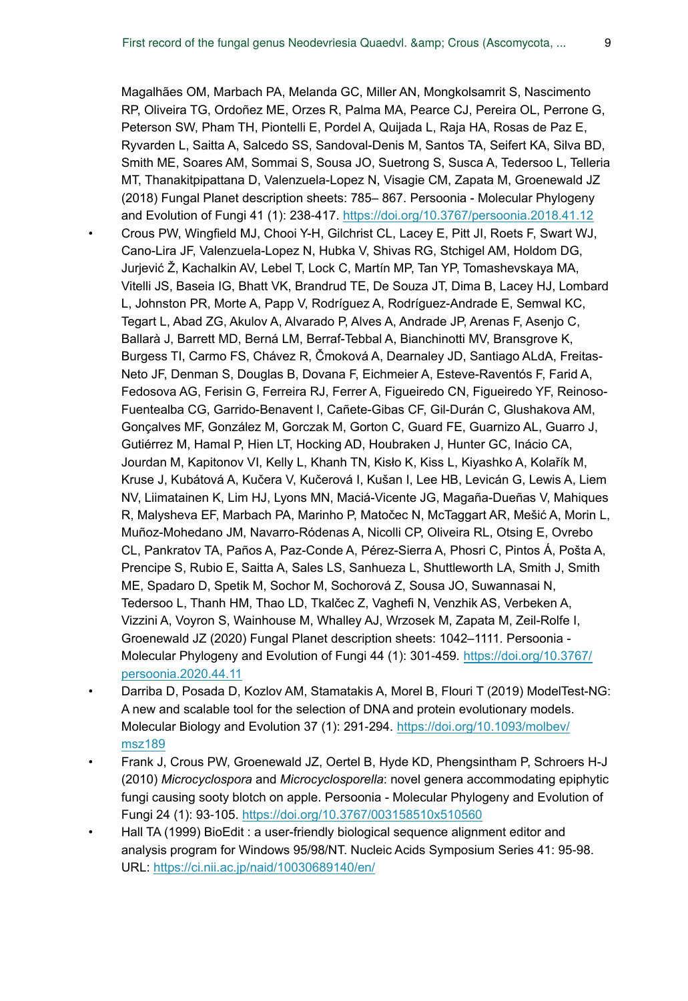<span id="page-8-1"></span>Magalhães OM, Marbach PA, Melanda GC, Miller AN, Mongkolsamrit S, Nascimento RP, Oliveira TG, Ordoñez ME, Orzes R, Palma MA, Pearce CJ, Pereira OL, Perrone G, Peterson SW, Pham TH, Piontelli E, Pordel A, Quijada L, Raja HA, Rosas de Paz E, Ryvarden L, Saitta A, Salcedo SS, Sandoval-Denis M, Santos TA, Seifert KA, Silva BD, Smith ME, Soares AM, Sommai S, Sousa JO, Suetrong S, Susca A, Tedersoo L, Telleria MT, Thanakitpipattana D, Valenzuela-Lopez N, Visagie CM, Zapata M, Groenewald JZ (2018) Fungal Planet description sheets: 785– 867. Persoonia - Molecular Phylogeny and Evolution of Fungi 41 (1): 238‑417. <https://doi.org/10.3767/persoonia.2018.41.12> • Crous PW, Wingfield MJ, Chooi Y-H, Gilchrist CL, Lacey E, Pitt JI, Roets F, Swart WJ, Cano-Lira JF, Valenzuela-Lopez N, Hubka V, Shivas RG, Stchigel AM, Holdom DG, Jurjević Ž, Kachalkin AV, Lebel T, Lock C, Martín MP, Tan YP, Tomashevskaya MA, Vitelli JS, Baseia IG, Bhatt VK, Brandrud TE, De Souza JT, Dima B, Lacey HJ, Lombard L, Johnston PR, Morte A, Papp V, Rodríguez A, Rodríguez-Andrade E, Semwal KC, Tegart L, Abad ZG, Akulov A, Alvarado P, Alves A, Andrade JP, Arenas F, Asenjo C, Ballarà J, Barrett MD, Berná LM, Berraf-Tebbal A, Bianchinotti MV, Bransgrove K, Burgess TI, Carmo FS, Chávez R, Čmoková A, Dearnaley JD, Santiago ALdA, Freitas-Neto JF, Denman S, Douglas B, Dovana F, Eichmeier A, Esteve-Raventós F, Farid A, Fedosova AG, Ferisin G, Ferreira RJ, Ferrer A, Figueiredo CN, Figueiredo YF, Reinoso-Fuentealba CG, Garrido-Benavent I, Cañete-Gibas CF, Gil-Durán C, Glushakova AM, Gonçalves MF, González M, Gorczak M, Gorton C, Guard FE, Guarnizo AL, Guarro J, Gutiérrez M, Hamal P, Hien LT, Hocking AD, Houbraken J, Hunter GC, Inácio CA, Jourdan M, Kapitonov VI, Kelly L, Khanh TN, Kisło K, Kiss L, Kiyashko A, Kolařík M, Kruse J, Kubátová A, Kučera V, Kučerová I, Kušan I, Lee HB, Levicán G, Lewis A, Liem NV, Liimatainen K, Lim HJ, Lyons MN, Maciá-Vicente JG, Magaña-Dueñas V, Mahiques R, Malysheva EF, Marbach PA, Marinho P, Matočec N, McTaggart AR, Mešić A, Morin L, Muñoz-Mohedano JM, Navarro-Ródenas A, Nicolli CP, Oliveira RL, Otsing E, Ovrebo CL, Pankratov TA, Paños A, Paz-Conde A, Pérez-Sierra A, Phosri C, Pintos Á, Pošta A, Prencipe S, Rubio E, Saitta A, Sales LS, Sanhueza L, Shuttleworth LA, Smith J, Smith ME, Spadaro D, Spetik M, Sochor M, Sochorová Z, Sousa JO, Suwannasai N, Tedersoo L, Thanh HM, Thao LD, Tkalčec Z, Vaghefi N, Venzhik AS, Verbeken A, Vizzini A, Voyron S, Wainhouse M, Whalley AJ, Wrzosek M, Zapata M, Zeil-Rolfe I, Groenewald JZ (2020) Fungal Planet description sheets: 1042–1111. Persoonia Molecular Phylogeny and Evolution of Fungi 44 (1): 301-459. [https://doi.org/10.3767/](https://doi.org/10.3767/persoonia.2020.44.11) [persoonia.2020.44.11](https://doi.org/10.3767/persoonia.2020.44.11)

- <span id="page-8-3"></span>• Darriba D, Posada D, Kozlov AM, Stamatakis A, Morel B, Flouri T (2019) ModelTest-NG: A new and scalable tool for the selection of DNA and protein evolutionary models. Molecular Biology and Evolution 37 (1): 291-294. [https://doi.org/10.1093/molbev/](https://doi.org/10.1093/molbev/msz189) [msz189](https://doi.org/10.1093/molbev/msz189)
- <span id="page-8-0"></span>• Frank J, Crous PW, Groenewald JZ, Oertel B, Hyde KD, Phengsintham P, Schroers H-J (2010) *Microcyclospora* and *Microcyclosporella*: novel genera accommodating epiphytic fungi causing sooty blotch on apple. Persoonia - Molecular Phylogeny and Evolution of Fungi 24 (1): 93‑105. <https://doi.org/10.3767/003158510x510560>
- <span id="page-8-2"></span>• Hall TA (1999) BioEdit : a user-friendly biological sequence alignment editor and analysis program for Windows 95/98/NT. Nucleic Acids Symposium Series 41: 95‑98. URL:<https://ci.nii.ac.jp/naid/10030689140/en/>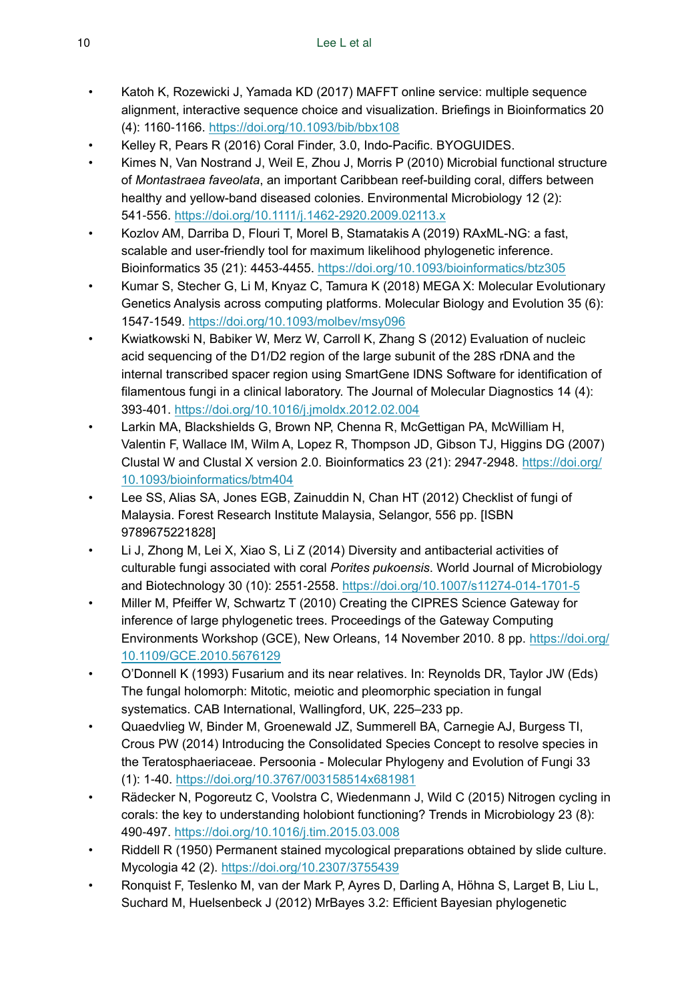- <span id="page-9-7"></span>• Katoh K, Rozewicki J, Yamada KD (2017) MAFFT online service: multiple sequence alignment, interactive sequence choice and visualization. Briefings in Bioinformatics 20 (4): 1160‑1166. <https://doi.org/10.1093/bib/bbx108>
- <span id="page-9-1"></span>• Kelley R, Pears R (2016) Coral Finder, 3.0, Indo-Pacific. BYOGUIDES.
- <span id="page-9-13"></span>• Kimes N, Van Nostrand J, Weil E, Zhou J, Morris P (2010) Microbial functional structure of *Montastraea faveolata*, an important Caribbean reef-building coral, differs between healthy and yellow-band diseased colonies. Environmental Microbiology 12 (2): 541‑556. <https://doi.org/10.1111/j.1462-2920.2009.02113.x>
- <span id="page-9-9"></span>• Kozlov AM, Darriba D, Flouri T, Morel B, Stamatakis A (2019) RAxML-NG: a fast, scalable and user-friendly tool for maximum likelihood phylogenetic inference. Bioinformatics 35 (21): 4453‑4455. <https://doi.org/10.1093/bioinformatics/btz305>
- <span id="page-9-8"></span>• Kumar S, Stecher G, Li M, Knyaz C, Tamura K (2018) MEGA X: Molecular Evolutionary Genetics Analysis across computing platforms. Molecular Biology and Evolution 35 (6): 1547‑1549.<https://doi.org/10.1093/molbev/msy096>
- <span id="page-9-5"></span>• Kwiatkowski N, Babiker W, Merz W, Carroll K, Zhang S (2012) Evaluation of nucleic acid sequencing of the D1/D2 region of the large subunit of the 28S rDNA and the internal transcribed spacer region using SmartGene IDNS Software for identification of filamentous fungi in a clinical laboratory. The Journal of Molecular Diagnostics 14 (4): 393‑401. <https://doi.org/10.1016/j.jmoldx.2012.02.004>
- <span id="page-9-6"></span>• Larkin MA, Blackshields G, Brown NP, Chenna R, McGettigan PA, McWilliam H, Valentin F, Wallace IM, Wilm A, Lopez R, Thompson JD, Gibson TJ, Higgins DG (2007) Clustal W and Clustal X version 2.0. Bioinformatics 23 (21): 2947‑2948. [https://doi.org/](https://doi.org/10.1093/bioinformatics/btm404) [10.1093/bioinformatics/btm404](https://doi.org/10.1093/bioinformatics/btm404)
- <span id="page-9-14"></span>Lee SS, Alias SA, Jones EGB, Zainuddin N, Chan HT (2012) Checklist of fungi of Malaysia. Forest Research Institute Malaysia, Selangor, 556 pp. [ISBN 9789675221828]
- <span id="page-9-2"></span>• Li J, Zhong M, Lei X, Xiao S, Li Z (2014) Diversity and antibacterial activities of culturable fungi associated with coral *Porites pukoensis*. World Journal of Microbiology and Biotechnology 30 (10): 2551‑2558. <https://doi.org/10.1007/s11274-014-1701-5>
- <span id="page-9-11"></span>• Miller M, Pfeiffer W, Schwartz T (2010) Creating the CIPRES Science Gateway for inference of large phylogenetic trees. Proceedings of the Gateway Computing Environments Workshop (GCE), New Orleans, 14 November 2010. 8 pp. [https://doi.org/](https://doi.org/10.1109/GCE.2010.5676129) [10.1109/GCE.2010.5676129](https://doi.org/10.1109/GCE.2010.5676129)
- <span id="page-9-4"></span>• O'Donnell K (1993) Fusarium and its near relatives. In: Reynolds DR, Taylor JW (Eds) The fungal holomorph: Mitotic, meiotic and pleomorphic speciation in fungal systematics. CAB International, Wallingford, UK, 225–233 pp.
- <span id="page-9-0"></span>• Quaedvlieg W, Binder M, Groenewald JZ, Summerell BA, Carnegie AJ, Burgess TI, Crous PW (2014) Introducing the Consolidated Species Concept to resolve species in the Teratosphaeriaceae. Persoonia - Molecular Phylogeny and Evolution of Fungi 33 (1): 1‑40. <https://doi.org/10.3767/003158514x681981>
- <span id="page-9-12"></span>• Rädecker N, Pogoreutz C, Voolstra C, Wiedenmann J, Wild C (2015) Nitrogen cycling in corals: the key to understanding holobiont functioning? Trends in Microbiology 23 (8): 490‑497. <https://doi.org/10.1016/j.tim.2015.03.008>
- <span id="page-9-3"></span>• Riddell R (1950) Permanent stained mycological preparations obtained by slide culture. Mycologia 42 (2).<https://doi.org/10.2307/3755439>
- <span id="page-9-10"></span>• Ronquist F, Teslenko M, van der Mark P, Ayres D, Darling A, Höhna S, Larget B, Liu L, Suchard M, Huelsenbeck J (2012) MrBayes 3.2: Efficient Bayesian phylogenetic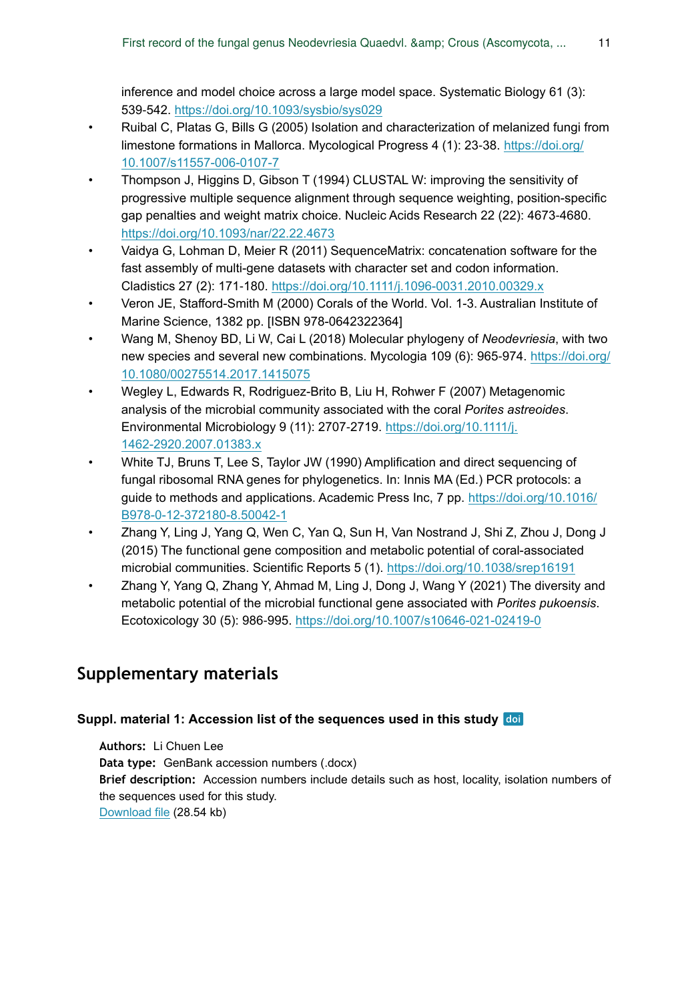inference and model choice across a large model space. Systematic Biology 61 (3): 539‑542. <https://doi.org/10.1093/sysbio/sys029>

- <span id="page-10-0"></span>• Ruibal C, Platas G, Bills G (2005) Isolation and characterization of melanized fungi from limestone formations in Mallorca. Mycological Progress 4 (1): 23‑38. [https://doi.org/](https://doi.org/10.1007/s11557-006-0107-7) [10.1007/s11557-006-0107-7](https://doi.org/10.1007/s11557-006-0107-7)
- <span id="page-10-4"></span>• Thompson J, Higgins D, Gibson T (1994) CLUSTAL W: improving the sensitivity of progressive multiple sequence alignment through sequence weighting, position-specific gap penalties and weight matrix choice. Nucleic Acids Research 22 (22): 4673-4680. <https://doi.org/10.1093/nar/22.22.4673>
- <span id="page-10-6"></span>• Vaidya G, Lohman D, Meier R (2011) SequenceMatrix: concatenation software for the fast assembly of multi-gene datasets with character set and codon information. Cladistics 27 (2): 171‑180. <https://doi.org/10.1111/j.1096-0031.2010.00329.x>
- <span id="page-10-2"></span>• Veron JE, Stafford-Smith M (2000) Corals of the World. Vol. 1-3. Australian Institute of Marine Science, 1382 pp. [ISBN 978-0642322364]
- <span id="page-10-1"></span>• Wang M, Shenoy BD, Li W, Cai L (2018) Molecular phylogeny of *Neodevriesia*, with two new species and several new combinations. Mycologia 109 (6): 965‑974. [https://doi.org/](https://doi.org/10.1080/00275514.2017.1415075) [10.1080/00275514.2017.1415075](https://doi.org/10.1080/00275514.2017.1415075)
- <span id="page-10-7"></span>• Wegley L, Edwards R, Rodriguez-Brito B, Liu H, Rohwer F (2007) Metagenomic analysis of the microbial community associated with the coral *Porites astreoides*. Environmental Microbiology 9 (11): 2707-2719. [https://doi.org/10.1111/j.](https://doi.org/10.1111/j.1462-2920.2007.01383.x) [1462-2920.2007.01383.x](https://doi.org/10.1111/j.1462-2920.2007.01383.x)
- <span id="page-10-3"></span>• White TJ, Bruns T, Lee S, Taylor JW (1990) Amplification and direct sequencing of fungal ribosomal RNA genes for phylogenetics. In: Innis MA (Ed.) PCR protocols: a guide to methods and applications. Academic Press Inc, 7 pp. [https://doi.org/10.1016/](https://doi.org/10.1016/B978-0-12-372180-8.50042-1) [B978-0-12-372180-8.50042-1](https://doi.org/10.1016/B978-0-12-372180-8.50042-1)
- <span id="page-10-8"></span>• Zhang Y, Ling J, Yang Q, Wen C, Yan Q, Sun H, Van Nostrand J, Shi Z, Zhou J, Dong J (2015) The functional gene composition and metabolic potential of coral-associated microbial communities. Scientific Reports 5 (1). <https://doi.org/10.1038/srep16191>
- <span id="page-10-9"></span>• Zhang Y, Yang Q, Zhang Y, Ahmad M, Ling J, Dong J, Wang Y (2021) The diversity and metabolic potential of the microbial functional gene associated with *Porites pukoensis*. Ecotoxicology 30 (5): 986‑995. <https://doi.org/10.1007/s10646-021-02419-0>

# **Supplementary materials**

#### <span id="page-10-5"></span>**Suppl. material 1: Accession list of the sequences used in this study**

**Authors:** Li Chuen Lee **Data type:** GenBank accession numbers (.docx) **Brief description:** Accession numbers include details such as host, locality, isolation numbers of the sequences used for this study. [Download file](https://arpha.pensoft.net/getfile.php?filename=oo_640076.docx) (28.54 kb)